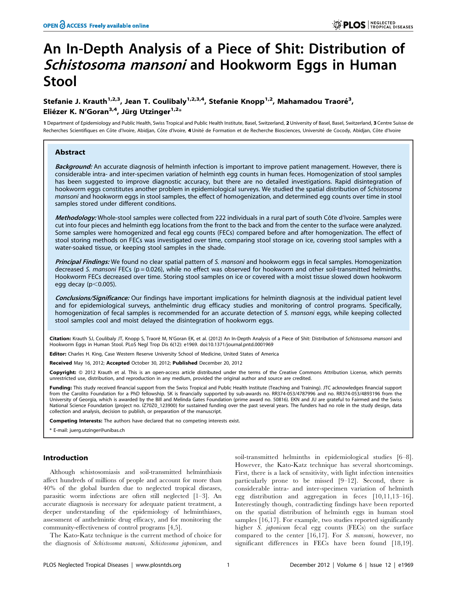# An In-Depth Analysis of a Piece of Shit: Distribution of Schistosoma mansoni and Hookworm Eggs in Human Stool

# Stefanie J. Krauth<sup>1,2,3</sup>, Jean T. Coulibaly<sup>1,2,3,4</sup>, Stefanie Knopp<sup>1,2</sup>, Mahamadou Traoré<sup>3</sup>, Eliézer K. N'Goran<sup>3,4</sup>, Jürg Utzinger<sup>1,2\*</sup>

1 Department of Epidemiology and Public Health, Swiss Tropical and Public Health Institute, Basel, Switzerland, 2 University of Basel, Basel, Switzerland, 3 Centre Suisse de Recherches Scientifiques en Côte d'Ivoire, Abidjan, Côte d'Ivoire, 4 Unité de Formation et de Recherche Biosciences, Université de Cocody, Abidjan, Côte d'Ivoire

# Abstract

Background: An accurate diagnosis of helminth infection is important to improve patient management. However, there is considerable intra- and inter-specimen variation of helminth egg counts in human feces. Homogenization of stool samples has been suggested to improve diagnostic accuracy, but there are no detailed investigations. Rapid disintegration of hookworm eggs constitutes another problem in epidemiological surveys. We studied the spatial distribution of Schistosoma mansoni and hookworm eggs in stool samples, the effect of homogenization, and determined egg counts over time in stool samples stored under different conditions.

Methodology: Whole-stool samples were collected from 222 individuals in a rural part of south Côte d'Ivoire. Samples were cut into four pieces and helminth egg locations from the front to the back and from the center to the surface were analyzed. Some samples were homogenized and fecal egg counts (FECs) compared before and after homogenization. The effect of stool storing methods on FECs was investigated over time, comparing stool storage on ice, covering stool samples with a water-soaked tissue, or keeping stool samples in the shade.

**Principal Findings:** We found no clear spatial pattern of S. mansoni and hookworm eggs in fecal samples. Homogenization decreased S. mansoni FECs ( $p = 0.026$ ), while no effect was observed for hookworm and other soil-transmitted helminths. Hookworm FECs decreased over time. Storing stool samples on ice or covered with a moist tissue slowed down hookworm egg decay ( $p<0.005$ ).

Conclusions/Significance: Our findings have important implications for helminth diagnosis at the individual patient level and for epidemiological surveys, anthelmintic drug efficacy studies and monitoring of control programs. Specifically, homogenization of fecal samples is recommended for an accurate detection of S. mansoni eggs, while keeping collected stool samples cool and moist delayed the disintegration of hookworm eggs.

Citation: Krauth SJ, Coulibaly JT, Knopp S, Traoré M, N'Goran EK, et al. (2012) An In-Depth Analysis of a Piece of Shit: Distribution of Schistosoma mansoni and Hookworm Eggs in Human Stool. PLoS Negl Trop Dis 6(12): e1969. doi:10.1371/journal.pntd.0001969

Editor: Charles H. King, Case Western Reserve University School of Medicine, United States of America

Received May 16, 2012; Accepted October 30, 2012; Published December 20, 2012

Copyright: © 2012 Krauth et al. This is an open-access article distributed under the terms of the Creative Commons Attribution License, which permits unrestricted use, distribution, and reproduction in any medium, provided the original author and source are credited.

Funding: This study received financial support from the Swiss Tropical and Public Health Institute (Teaching and Training). JTC acknowledges financial support from the Carolito Foundation for a PhD fellowship. SK is financially supported by sub-awards no. RR374-053/4787996 and no. RR374-053/4893196 from the University of Georgia, which is awarded by the Bill and Melinda Gates Foundation (prime award no. 50816). EKN and JU are grateful to Fairmed and the Swiss National Science Foundation (project no. IZ70Z0\_123900) for sustained funding over the past several years. The funders had no role in the study design, data collection and analysis, decision to publish, or preparation of the manuscript.

Competing Interests: The authors have declared that no competing interests exist.

\* E-mail: juerg.utzinger@unibas.ch

#### Introduction

Although schistosomiasis and soil-transmitted helminthiasis affect hundreds of millions of people and account for more than 40% of the global burden due to neglected tropical diseases, parasitic worm infections are often still neglected [1–3]. An accurate diagnosis is necessary for adequate patient treatment, a deeper understanding of the epidemiology of helminthiases, assessment of anthelmintic drug efficacy, and for monitoring the community-effectiveness of control programs [4,5].

The Kato-Katz technique is the current method of choice for the diagnosis of Schistosoma mansoni, Schistosoma japonicum, and

soil-transmitted helminths in epidemiological studies [6–8]. However, the Kato-Katz technique has several shortcomings. First, there is a lack of sensitivity, with light infection intensities particularly prone to be missed [9–12]. Second, there is considerable intra- and inter-specimen variation of helminth egg distribution and aggregation in feces [10,11,13–16]. Interestingly though, contradicting findings have been reported on the spatial distribution of helminth eggs in human stool samples [16,17]. For example, two studies reported significantly higher S. japonicum fecal egg counts (FECs) on the surface compared to the center [16,17]. For S. mansoni, however, no significant differences in FECs have been found [18,19].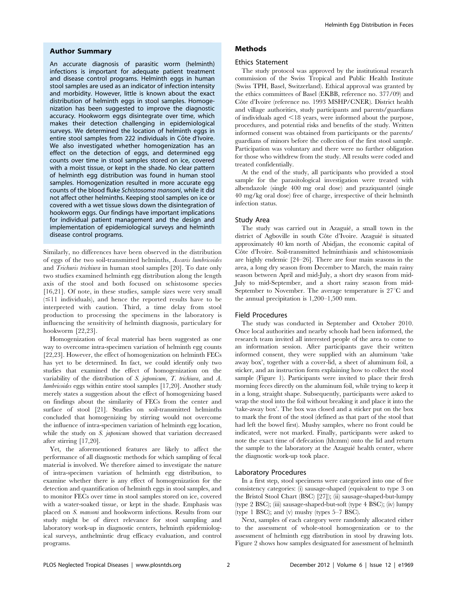#### Author Summary

An accurate diagnosis of parasitic worm (helminth) infections is important for adequate patient treatment and disease control programs. Helminth eggs in human stool samples are used as an indicator of infection intensity and morbidity. However, little is known about the exact distribution of helminth eggs in stool samples. Homogenization has been suggested to improve the diagnostic accuracy. Hookworm eggs disintegrate over time, which makes their detection challenging in epidemiological surveys. We determined the location of helminth eggs in entire stool samples from 222 individuals in Côte d'Ivoire. We also investigated whether homogenization has an effect on the detection of eggs, and determined egg counts over time in stool samples stored on ice, covered with a moist tissue, or kept in the shade. No clear pattern of helminth egg distribution was found in human stool samples. Homogenization resulted in more accurate egg counts of the blood fluke Schistosoma mansoni, while it did not affect other helminths. Keeping stool samples on ice or covered with a wet tissue slows down the disintegration of hookworm eggs. Our findings have important implications for individual patient management and the design and implementation of epidemiological surveys and helminth disease control programs.

Similarly, no differences have been observed in the distribution of eggs of the two soil-transmitted helminths, Ascaris lumbricoides and Trichuris trichiura in human stool samples [20]. To date only two studies examined helminth egg distribution along the length axis of the stool and both focused on schistosome species [16,21]. Of note, in these studies, sample sizes were very small  $(\leq 11$  individuals), and hence the reported results have to be interpreted with caution. Third, a time delay from stool production to processing the specimens in the laboratory is influencing the sensitivity of helminth diagnosis, particulary for hookworm [22,23].

Homogenization of fecal material has been suggested as one way to overcome intra-specimen variation of helminth egg counts [22,23]. However, the effect of homogenization on helminth FECs has yet to be determined. In fact, we could identify only two studies that examined the effect of homogenization on the variability of the distribution of S. japonicum, T. trichiura, and A. lumbricoides eggs within entire stool samples [17,20]. Another study merely states a suggestion about the effect of homogenizing based on findings about the similarity of FECs from the center and surface of stool [21]. Studies on soil-transmitted helminths concluded that homogenizing by stirring would not overcome the influence of intra-specimen variation of helminth egg location, while the study on S. japonicum showed that variation decreased after stirring [17,20].

Yet, the aforementioned features are likely to affect the performance of all diagnostic methods for which sampling of fecal material is involved. We therefore aimed to investigate the nature of intra-specimen variation of helminth egg distribution, to examine whether there is any effect of homogenization for the detection and quantification of helminth eggs in stool samples, and to monitor FECs over time in stool samples stored on ice, covered with a water-soaked tissue, or kept in the shade. Emphasis was placed on S. mansoni and hookworm infections. Results from our study might be of direct relevance for stool sampling and laboratory work-up in diagnostic centers, helminth epidemiological surveys, anthelmintic drug efficacy evaluation, and control programs.

# Methods

#### Ethics Statement

The study protocol was approved by the institutional research commission of the Swiss Tropical and Public Health Institute (Swiss TPH, Basel, Switzerland). Ethical approval was granted by the ethics committees of Basel (EKBB, reference no. 377/09) and Côte d'Ivoire (reference no. 1993 MSHP/CNER). District health and village authorities, study participants and parents/guardians of individuals aged  $\leq$ 18 years, were informed about the purpose, procedures, and potential risks and benefits of the study. Written informed consent was obtained from participants or the parents/ guardians of minors before the collection of the first stool sample. Participation was voluntary and there were no further obligation for those who withdrew from the study. All results were coded and treated confidentially.

At the end of the study, all participants who provided a stool sample for the parasitological investigation were treated with albendazole (single 400 mg oral dose) and praziquantel (single 40 mg/kg oral dose) free of charge, irrespective of their helminth infection status.

#### Study Area

The study was carried out in Azaguié, a small town in the district of Agboville in south Côte d'Ivoire. Azaguié is situated approximately 40 km north of Abidjan, the economic capital of Côte d'Ivoire. Soil-transmitted helminthiasis and schistosomiasis are highly endemic [24–26]. There are four main seasons in the area, a long dry season from December to March, the main rainy season between April and mid-July, a short dry season from mid-July to mid-September, and a short rainy season from mid-September to November. The average temperature is  $27^{\circ}$ C and the annual precipitation is 1,200–1,500 mm.

#### Field Procedures

The study was conducted in September and October 2010. Once local authorities and nearby schools had been informed, the research team invited all interested people of the area to come to an information session. After participants gave their written informed consent, they were supplied with an aluminum 'take away box', together with a cover-lid, a sheet of aluminum foil, a sticker, and an instruction form explaining how to collect the stool sample (Figure 1). Participants were invited to place their fresh morning feces directly on the aluminum foil, while trying to keep it in a long, straight shape. Subsequently, participants were asked to wrap the stool into the foil without breaking it and place it into the 'take-away box'. The box was closed and a sticker put on the box to mark the front of the stool (defined as that part of the stool that had left the bowel first). Mushy samples, where no front could be indicated, were not marked. Finally, participants were asked to note the exact time of defecation (hh:mm) onto the lid and return the sample to the laboratory at the Azaguié health center, where the diagnostic work-up took place.

### Laboratory Procedures

In a first step, stool specimens were categorized into one of five consistency categories: (i) sausage-shaped (equivalent to type 3 on the Bristol Stool Chart (BSC) [27]); (ii) sausage-shaped-but-lumpy (type 2 BSC); (iii) sausage-shaped-but-soft (type 4 BSC); (iv) lumpy (type 1 BSC); and (v) mushy (types 5–7 BSC).

Next, samples of each category were randomly allocated either to the assessment of whole-stool homogenization or to the assessment of helminth egg distribution in stool by drawing lots. Figure 2 shows how samples designated for assessment of helminth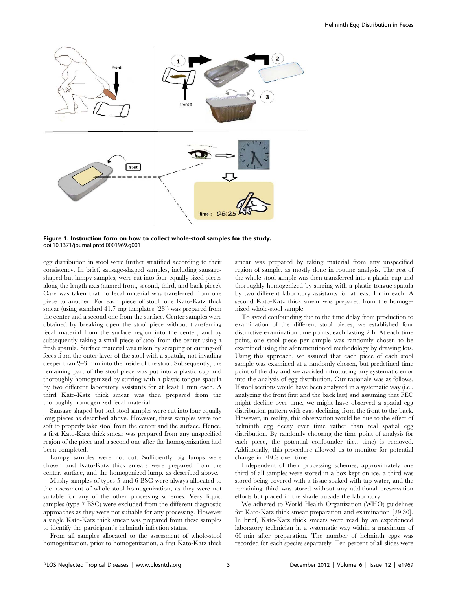

Figure 1. Instruction form on how to collect whole-stool samples for the study. doi:10.1371/journal.pntd.0001969.g001

egg distribution in stool were further stratified according to their consistency. In brief, sausage-shaped samples, including sausageshaped-but-lumpy samples, were cut into four equally sized pieces along the length axis (named front, second, third, and back piece). Care was taken that no fecal material was transferred from one piece to another. For each piece of stool, one Kato-Katz thick smear (using standard 41.7 mg templates [28]) was prepared from the center and a second one from the surface. Center samples were obtained by breaking open the stool piece without transferring fecal material from the surface region into the center, and by subsequently taking a small piece of stool from the center using a fresh spatula. Surface material was taken by scraping or cutting-off feces from the outer layer of the stool with a spatula, not invading deeper than 2–3 mm into the inside of the stool. Subsequently, the remaining part of the stool piece was put into a plastic cup and thoroughly homogenized by stirring with a plastic tongue spatula by two different laboratory assistants for at least 1 min each. A third Kato-Katz thick smear was then prepared from the thoroughly homogenized fecal material.

Sausage-shaped-but-soft stool samples were cut into four equally long pieces as described above. However, these samples were too soft to properly take stool from the center and the surface. Hence, a first Kato-Katz thick smear was prepared from any unspecified region of the piece and a second one after the homogenization had been completed.

Lumpy samples were not cut. Sufficiently big lumps were chosen and Kato-Katz thick smears were prepared from the center, surface, and the homogenized lump, as described above.

Mushy samples of types 5 and 6 BSC were always allocated to the assessment of whole-stool homogenization, as they were not suitable for any of the other processing schemes. Very liquid samples (type 7 BSC) were excluded from the different diagnostic approaches as they were not suitable for any processing. However a single Kato-Katz thick smear was prepared from these samples to identify the participant's helminth infection status.

From all samples allocated to the assessment of whole-stool homogenization, prior to homogenization, a first Kato-Katz thick smear was prepared by taking material from any unspecified region of sample, as mostly done in routine analysis. The rest of the whole-stool sample was then transferred into a plastic cup and thoroughly homogenized by stirring with a plastic tongue spatula by two different laboratory assistants for at least 1 min each. A second Kato-Katz thick smear was prepared from the homogenized whole-stool sample.

To avoid confounding due to the time delay from production to examination of the different stool pieces, we established four distinctive examination time points, each lasting 2 h. At each time point, one stool piece per sample was randomly chosen to be examined using the aforementioned methodology by drawing lots. Using this approach, we assured that each piece of each stool sample was examined at a randomly chosen, but predefined time point of the day and we avoided introducing any systematic error into the analysis of egg distribution. Our rationale was as follows. If stool sections would have been analyzed in a systematic way (i.e., analyzing the front first and the back last) and assuming that FEC might decline over time, we might have observed a spatial egg distribution pattern with eggs declining from the front to the back. However, in reality, this observation would be due to the effect of helminth egg decay over time rather than real spatial egg distribution. By randomly choosing the time point of analysis for each piece, the potential confounder (i.e., time) is removed. Additionally, this procedure allowed us to monitor for potential change in FECs over time.

Independent of their processing schemes, approximately one third of all samples were stored in a box kept on ice, a third was stored being covered with a tissue soaked with tap water, and the remaining third was stored without any additional preservation efforts but placed in the shade outside the laboratory.

We adhered to World Health Organization (WHO) guidelines for Kato-Katz thick smear preparation and examination [29,30]. In brief, Kato-Katz thick smears were read by an experienced laboratory technician in a systematic way within a maximum of 60 min after preparation. The number of helminth eggs was recorded for each species separately. Ten percent of all slides were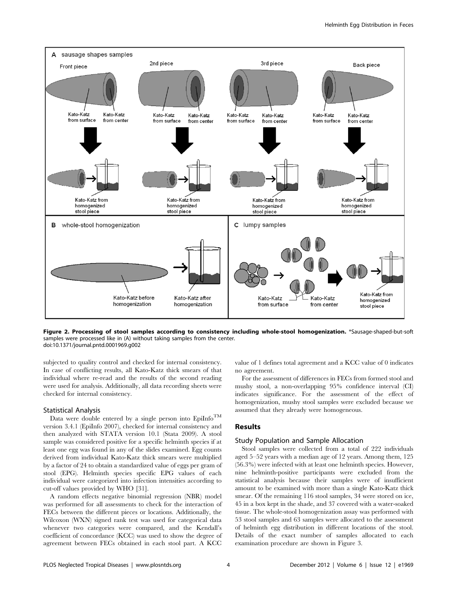

Figure 2. Processing of stool samples according to consistency including whole-stool homogenization. \*Sausage-shaped-but-soft samples were processed like in (A) without taking samples from the center. doi:10.1371/journal.pntd.0001969.g002

subjected to quality control and checked for internal consistency. In case of conflicting results, all Kato-Katz thick smears of that individual where re-read and the results of the second reading were used for analysis. Additionally, all data recording sheets were checked for internal consistency.

#### Statistical Analysis

Data were double entered by a single person into  $Epi$ IM version 3.4.1 (EpiInfo 2007), checked for internal consistency and then analyzed with STATA version 10.1 (Stata 2009). A stool sample was considered positive for a specific helminth species if at least one egg was found in any of the slides examined. Egg counts derived from individual Kato-Katz thick smears were multiplied by a factor of 24 to obtain a standardized value of eggs per gram of stool (EPG). Helminth species specific EPG values of each individual were categorized into infection intensities according to cut-off values provided by WHO [31].

A random effects negative binomial regression (NBR) model was performed for all assessments to check for the interaction of FECs between the different pieces or locations. Additionally, the Wilcoxon (WXN) signed rank test was used for categorical data whenever two categories were compared, and the Kendall's coefficient of concordance (KCC) was used to show the degree of agreement between FECs obtained in each stool part. A KCC

value of 1 defines total agreement and a KCC value of 0 indicates no agreement.

For the assessment of differences in FECs from formed stool and mushy stool, a non-overlapping 95% confidence interval (CI) indicates significance. For the assessment of the effect of homogenization, mushy stool samples were excluded because we assumed that they already were homogeneous.

# Results

#### Study Population and Sample Allocation

Stool samples were collected from a total of 222 individuals aged 5–52 years with a median age of 12 years. Among them, 125 (56.3%) were infected with at least one helminth species. However, nine helminth-positive participants were excluded from the statistical analysis because their samples were of insufficient amount to be examined with more than a single Kato-Katz thick smear. Of the remaining 116 stool samples, 34 were stored on ice, 45 in a box kept in the shade, and 37 covered with a water-soaked tissue. The whole-stool homogenization assay was performed with 53 stool samples and 63 samples were allocated to the assessment of helminth egg distribution in different locations of the stool. Details of the exact number of samples allocated to each examination procedure are shown in Figure 3.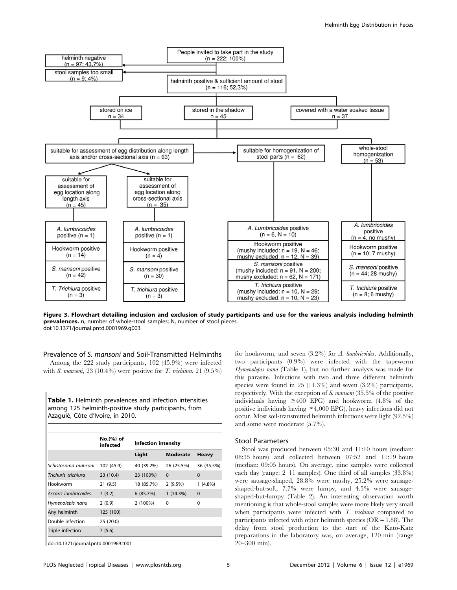

Figure 3. Flowchart detailing inclusion and exclusion of study participants and use for the various analysis including helminth prevalences. n, number of whole-stool samples; N, number of stool pieces. doi:10.1371/journal.pntd.0001969.g003

Prevalence of S. mansoni and Soil-Transmitted Helminths

Among the 222 study participants, 102 (45.9%) were infected with S. mansoni,  $23(10.4\%)$  were positive for T. trichiura,  $21(9.5\%)$ 

Table 1. Helminth prevalences and infection intensities among 125 helminth-positive study participants, from Azaguié, Côte d'Ivoire, in 2010.

|                      | No.(%) of<br>infected | <b>Infection intensity</b> |                 |              |
|----------------------|-----------------------|----------------------------|-----------------|--------------|
|                      |                       | Light                      | <b>Moderate</b> | <b>Heavy</b> |
| Schistosoma mansoni  | 102 (45.9)            | 40 (39.2%)                 | 26 (25.5%)      | 36 (35.5%)   |
| Trichuris trichiura  | 23 (10.4)             | 23 (100%)                  | $\Omega$        | $\Omega$     |
| Hookworm             | 21(9.5)               | 18 (85.7%)                 | 2(9.5%)         | $1(4.8\%)$   |
| Ascaris lumbricoides | 7(3.2)                | 6(85.7%)                   | 1(14.3%)        | $\Omega$     |
| Hymenolepis nana     | 2(0.9)                | 2 (100%)                   | $\Omega$        | $\Omega$     |
| Any helminth         | 125 (100)             |                            |                 |              |
| Double infection     | 25 (20.0)             |                            |                 |              |
| Triple infection     | 7(5.6)                |                            |                 |              |

doi:10.1371/journal.pntd.0001969.t001

for hookworm, and seven (3.2%) for A. lumbricoides. Additionally, two participants (0.9%) were infected with the tapeworm Hymenolepis nana (Table 1), but no further analysis was made for this parasite. Infections with two and three different helminth species were found in 25 (11.3%) and seven (3.2%) participants, respectively. With the exception of S. mansoni (35.5% of the positive individuals having  $\geq 400$  EPG) and hookworm (4.8% of the positive individuals having  $\geq 4,000$  EPG), heavy infections did not occur. Most soil-transmitted helminth infections were light (92.5%) and some were moderate (5.7%).

#### Stool Parameters

Stool was produced between 05:30 and 11:10 hours (median: 08:35 hours) and collected between 07:52 and 11:19 hours (median: 09:05 hours). On average, nine samples were collected each day (range: 2–11 samples). One third of all samples (33.8%) were sausage-shaped, 28.8% were mushy, 25.2% were sausageshaped-but-soft, 7.7% were lumpy, and 4.5% were sausageshaped-but-lumpy (Table 2). An interesting observation worth mentioning is that whole-stool samples were more likely very small when participants were infected with T. trichiura compared to participants infected with other helminth species  $(OR = 1.88)$ . The delay from stool production to the start of the Kato-Katz preparations in the laboratory was, on average, 120 min (range 20–300 min).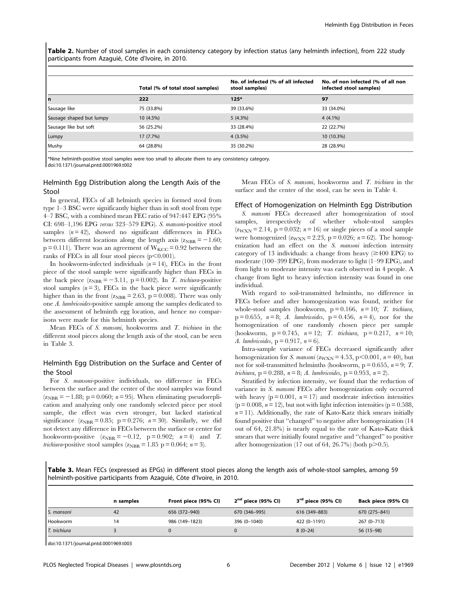Table 2. Number of stool samples in each consistency category by infection status (any helminth infection), from 222 study participants from Azaquié, Côte d'Ivoire, in 2010.

|                          | Total (% of total stool samples) | No. of infected (% of all infected<br>stool samples) | No. of non infected (% of all non<br>infected stool samples) |
|--------------------------|----------------------------------|------------------------------------------------------|--------------------------------------------------------------|
| l n                      | 222                              | $125*$                                               | 97                                                           |
| Sausage like             | 75 (33.8%)                       | 39 (33.6%)                                           | 33 (34.0%)                                                   |
| Sausage shaped but lumpy | $10(4.5\%)$                      | 5(4.3%)                                              | $4(4.1\%)$                                                   |
| Sausage like but soft    | 56 (25.2%)                       | 33 (28.4%)                                           | 22 (22.7%)                                                   |
| Lumpy                    | 17(7.7%)                         | $4(3.5\%)$                                           | 10 (10.3%)                                                   |
| Mushy                    | 64 (28.8%)                       | 35 (30.2%)                                           | 28 (28.9%)                                                   |

\*Nine helminth-positive stool samples were too small to allocate them to any consistency category. doi:10.1371/journal.pntd.0001969.t002

Helminth Egg Distribution along the Length Axis of the Stool

In general, FECs of all helminth species in formed stool from type 1–3 BSC were significantly higher than in soft stool from type 4–7 BSC, with a combined mean FEC ratio of 947:447 EPG (95% CI: 698–1,196 EPG versus 323–579 EPG). S. mansoni-positive stool samples  $(n=42)$ , showed no significant differences in FECs between different locations along the length axis  $(z_{NBR} = -1.60;$  $p = 0.111$ ). There was an agreement of  $W_{KCG} = 0.92$  between the ranks of FECs in all four stool pieces  $(p<0.001)$ .

In hookworm-infected individuals  $(n = 14)$ , FECs in the front piece of the stool sample were significantly higher than FECs in the back piece  $(z_{NBR} = -3.11, p = 0.002)$ . In *T. trichiura*-positive stool samples  $(n=3)$ , FECs in the back piece were significantly higher than in the front  $(z<sub>NBR</sub> = 2.63, p = 0.008)$ . There was only one A. lumbricoides-positive sample among the samples dedicated to the assessment of helminth egg location, and hence no comparisons were made for this helminth species.

Mean FECs of S. *mansoni*, hookworms and  $T$ . *trichiura* in the different stool pieces along the length axis of the stool, can be seen in Table 3.

# Helminth Egg Distribution on the Surface and Center of the Stool

For S. mansoni-positive individuals, no difference in FECs between the surface and the center of the stool samples was found  $(z<sub>NBR</sub> = -1.88; p = 0.060; n = 95)$ . When eliminating pseudoreplication and analyzing only one randomly selected piece per stool sample, the effect was even stronger, but lacked statistical significance  $(z_{NBR} = 0.85; p = 0.276; n = 30)$ . Similarly, we did not detect any difference in FECs between the surface or center for hookworm-positive  $(z<sub>NBR</sub> = -0.12, p = 0.902; n = 4)$  and T. trichiura-positive stool samples ( $z<sub>NBR</sub> = 1.85$  p = 0.064; n = 3).

Mean FECs of S. mansoni, hookworms and T. trichiura in the surface and the center of the stool, can be seen in Table 4.

#### Effect of Homogenization on Helminth Egg Distribution

S. mansoni FECs decreased after homogenization of stool samples, irrespectively of whether whole-stool samples  $(z<sub>WXN</sub> = 2.14, p = 0.032; n = 16)$  or single pieces of a stool sample were homogenized  $(z_{WXN} = 2.23, p = 0.026; n = 62)$ . The homogenization had an effect on the S. mansoni infection intensity category of 13 individuals: a change from heavy  $(\geq 400 \text{ EPG})$  to moderate (100–399 EPG), from moderate to light (1–99 EPG), and from light to moderate intensity was each observed in 4 people. A change from light to heavy infection intensity was found in one individual.

With regard to soil-transmitted helminths, no difference in FECs before and after homogenization was found, neither for whole-stool samples (hookworm,  $p = 0.166$ ,  $n = 10$ ; T. trichiura,  $p = 0.655$ ,  $n = 8$ ; A. lumbricoides,  $p = 0.456$ ,  $n = 4$ ), nor for the homogenization of one randomly chosen piece per sample (hookworm,  $p = 0.745$ ,  $n = 12$ ; T. trichiura,  $p = 0.217$ ,  $n = 10$ ; A. lumbricoides,  $p = 0.917$ ,  $n = 6$ ).

Intra-sample variance of FECs decreased significantly after homogenization for S. mansoni ( $z_{WXX}$  = 4.53, p<0.001, n = 40), but not for soil-transmitted helminths (hookworm,  $p = 0.655$ ,  $n = 9$ ; T. trichiura, p = 0.288, n = 8; A. lumbricoides, p = 0.953, n = 2).

Stratified by infection intensity, we found that the reduction of variance in S. mansoni FECs after homogenization only occurred with heavy ( $p = 0.001$ ,  $n = 17$ ) and moderate infection intensities  $(p = 0.008, n = 12)$ , but not with light infection intensities  $(p = 0.588,$  $n=11$ ). Additionally, the rate of Kato-Katz thick smears initially found positive that ''changed'' to negative after homogenization (14 out of 64, 21.8%) is nearly equal to the rate of Kato-Katz thick smears that were initially found negative and ''changed'' to positive after homogenization (17 out of 64, 26.7%) (both  $p>0.5$ ).

Table 3. Mean FECs (expressed as EPGs) in different stool pieces along the length axis of whole-stool samples, among 59 helminth-positive participants from Azaguié, Côte d'Ivoire, in 2010.

|              | n samples | Front piece (95% CI) | $2nd$ piece (95% CI) | 3 <sup>rd</sup> piece (95% CI) | Back piece (95% CI) |
|--------------|-----------|----------------------|----------------------|--------------------------------|---------------------|
| S. mansoni   | 42        | 656 (372-940)        | 670 (346-995)        | 616 (349-883)                  | 670 (275-841)       |
| Hookworm     | 14        | 986 (149-1823)       | 396 (0-1040)         | 422 (0-1191)                   | $267(0 - 713)$      |
| T. trichiura |           |                      |                      | $8(0-24)$                      | 56 (15-98)          |

doi:10.1371/journal.pntd.0001969.t003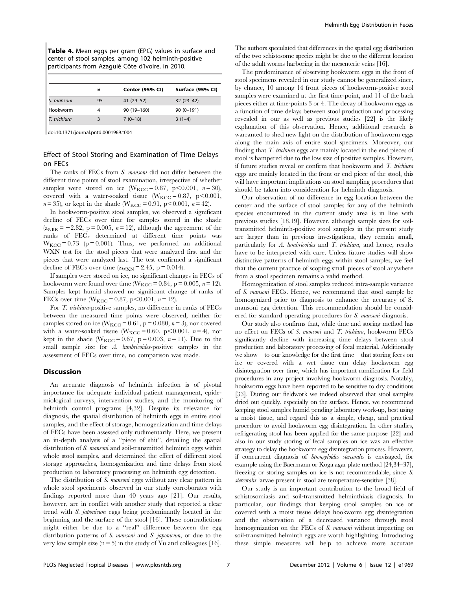Table 4. Mean eggs per gram (EPG) values in surface and center of stool samples, among 102 helminth-positive participants from Azaquié Côte d'Ivoire, in 2010.

|              | n  | Center (95% CI) | Surface (95% CI) |
|--------------|----|-----------------|------------------|
| S. mansoni   | 95 | $41(29-52)$     | $32(23-42)$      |
| Hookworm     |    | 90 (19-160)     | $90(0-191)$      |
| T. trichiura |    | $7(0-18)$       | $3(1-4)$         |

doi:10.1371/journal.pntd.0001969.t004

# Effect of Stool Storing and Examination of Time Delays on FECs

The ranks of FECs from S. mansoni did not differ between the different time points of stool examination, irrespective of whether samples were stored on ice  $(W_{KCC} = 0.87, p<0.001, n = 30)$ , covered with a water-soaked tissue ( $W_{KCC} = 0.87$ , p $\leq 0.001$ ,  $n = 35$ ), or kept in the shade (W<sub>KCC</sub> = 0.91, p<0.001,  $n = 42$ ).

In hookworm-positive stool samples, we observed a significant decline of FECs over time for samples stored in the shade  $(z<sub>NBR</sub> = -2.82, p = 0.005, n = 12)$ , although the agreement of the ranks of FECs determined at different time points was  $W_{KCC} = 0.73$  (p = 0.001). Thus, we performed an additional WXN test for the stool pieces that were analyzed first and the pieces that were analyzed last. The test confirmed a significant decline of FECs over time  $(z_{WXN} = 2.45, p = 0.014)$ .

If samples were stored on ice, no significant changes in FECs of hookworm were found over time ( $W_{KCC} = 0.84$ , p = 0.005, n = 12). Samples kept humid showed no significant change of ranks of FECs over time ( $W_{KCC} = 0.87$ , p<0.001, n = 12).

For T. trichiura-positive samples, no difference in ranks of FECs between the measured time points were observed, neither for samples stored on ice ( $W_{KCC} = 0.61$ , p = 0.080, n = 3), nor covered with a water-soaked tissue ( $W_{KCC} = 0.60$ , p $\lt 0.001$ , n=4), nor kept in the shade ( $W_{KCC} = 0.67$ , p = 0.003, n = 11). Due to the small sample size for A. lumbricoides-positive samples in the assessment of FECs over time, no comparison was made.

# Discussion

An accurate diagnosis of helminth infection is of pivotal importance for adequate individual patient management, epidemiological surveys, intervention studies, and the monitoring of helminth control programs [4,32]. Despite its relevance for diagnosis, the spatial distribution of helminth eggs in entire stool samples, and the effect of storage, homogenization and time delays of FECs have been assessed only rudimentarily. Here, we present an in-depth analysis of a ''piece of shit'', detailing the spatial distribution of S. mansoni and soil-transmitted helminth eggs within whole stool samples, and determined the effect of different stool storage approaches, homogenization and time delays from stool production to laboratory processing on helminth egg detection.

The distribution of S. mansoni eggs without any clear pattern in whole stool speciments observed in our study corroborates with findings reported more than 40 years ago [21]. Our results, however, are in conflict with another study that reported a clear trend with S. japonicum eggs being predominantly located in the beginning and the surface of the stool [16]. These contradictions might either be due to a ''real'' difference between the egg distribution patterns of S. mansoni and S. japonicum, or due to the very low sample size  $(n = 5)$  in the study of Yu and colleagues [16].

The authors speculated that differences in the spatial egg distribution of the two schistosome species might be due to the different location of the adult worms harboring in the mesenteric veins [16].

The predominance of observing hookworm eggs in the front of stool specimens revealed in our study cannot be generalized since, by chance, 10 among 14 front pieces of hookworm-positive stool samples were examined at the first time-point, and 11 of the back pieces either at time-points 3 or 4. The decay of hookworm eggs as a function of time delays between stool production and processing revealed in our as well as previous studies [22] is the likely explanation of this observation. Hence, additional research is warranted to shed new light on the distribution of hookworm eggs along the main axis of entire stool specimens. Moreover, our finding that T. trichiura eggs are mainly located in the end pieces of stool is hampered due to the low size of positive samples. However, if future studies reveal or confirm that hookworm and  $T$ . trichiura eggs are mainly located in the front or end piece of the stool, this will have important implications on stool sampling procedures that should be taken into consideration for helminth diagnosis.

Our observation of no difference in egg location between the center and the surface of stool samples for any of the helminth species encountered in the current study area is in line with previous studies [18,19]. However, although sample sizes for soiltransmitted helminth-positive stool samples in the present study are larger than in previous investigations, they remain small, particularly for A. lumbricoides and T. trichiura, and hence, results have to be interpreted with care. Unless future studies will show distinctive patterns of helminth eggs within stool samples, we feel that the current practice of scoping small pieces of stool anywhere from a stool specimen remains a valid method.

Homogenization of stool samples reduced intra-sample variance of S. mansoni FECs. Hence, we recommend that stool sample be homogenized prior to diagnosis to enhance the accuracy of S. mansoni egg detection. This recommendation should be considered for standard operating procedures for S. mansoni diagnosis.

Our study also confirms that, while time and storing method has no effect on FECs of S. mansoni and T. trichiura, hookworm FECs significantly decline with increasing time delays between stool production and laboratory processing of fecal material. Additionally we show – to our knowledge for the first time – that storing feces on ice or covered with a wet tissue can delay hookworm egg disintegration over time, which has important ramification for field procedures in any project involving hookworm diagnosis. Notably, hookworm eggs have been reported to be sensitive to dry conditions [33]. During our fieldwork we indeed observed that stool samples dried out quickly, especially on the surface. Hence, we recommend keeping stool samples humid pending laboratory work-up, best using a moist tissue, and regard this as a simple, cheap, and practical procedure to avoid hookworm egg disintegration. In other studies, refrigerating stool has been applied for the same purpose [22] and also in our study storing of fecal samples on ice was an effective strategy to delay the hookworm egg disintegration process. However, if concurrent diagnosis of Strongyloides stercoralis is envisaged, for example using the Baermann or Koga agar plate method [24,34–37], freezing or storing samples on ice is not recommendable, since S. stercoralis larvae present in stool are temperature-sensitive [38].

Our study is an important contribution to the broad field of schistosomiasis and soil-transmitted helminthiasis diagnosis. In particular, our findings that keeping stool samples on ice or covered with a moist tissue delays hookworm egg disintegration and the observation of a decreased variance through stool homogenization on the FECs of S. mansoni without impacting on soil-transmitted helminth eggs are worth highlighting. Introducing these simple measures will help to achieve more accurate